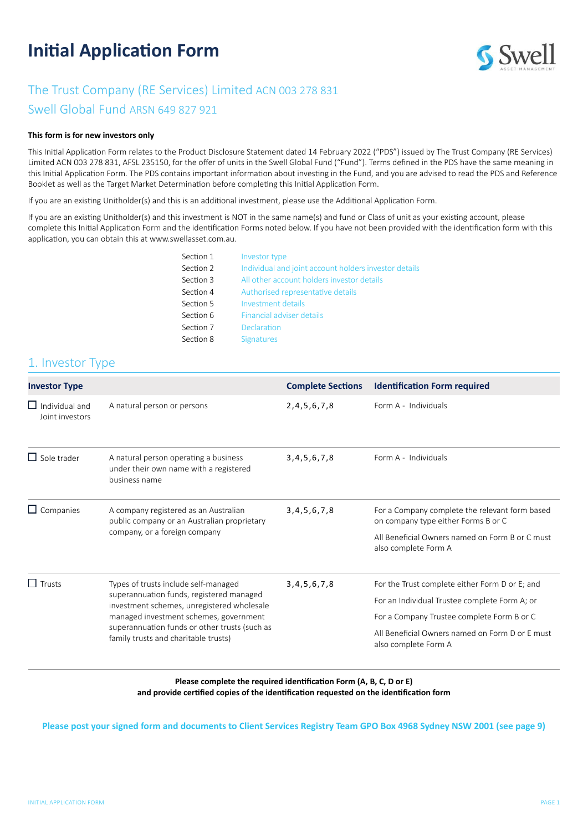# **Initial Application Form**



# The Trust Company (RE Services) Limited ACN 003 278 831

Swell Global Fund ARSN 649 827 921

#### **This form is for new investors only**

This Initial Application Form relates to the Product Disclosure Statement dated 14 February 2022 ("PDS") issued by The Trust Company (RE Services) Limited ACN 003 278 831, AFSL 235150, for the offer of units in the Swell Global Fund ("Fund"). Terms defined in the PDS have the same meaning in this Initial Application Form. The PDS contains important information about investing in the Fund, and you are advised to read the PDS and Reference Booklet as well as the Target Market Determination before completing this Initial Application Form.

If you are an existing Unitholder(s) and this is an additional investment, please use the Additional Application Form.

If you are an existing Unitholder(s) and this investment is NOT in the same name(s) and fund or Class of unit as your existing account, please complete this Initial Application Form and the identification Forms noted below. If you have not been provided with the identification form with this application, you can obtain this at [www.swellasset.com.au.](http://www.swellasset.com.au)

| Section 1 | Investor type                                         |
|-----------|-------------------------------------------------------|
| Section 2 | Individual and joint account holders investor details |
| Section 3 | All other account holders investor details            |
| Section 4 | Authorised representative details                     |
| Section 5 | Investment details                                    |
| Section 6 | Financial adviser details                             |
| Section 7 | Declaration                                           |
| Section 8 | <b>Signatures</b>                                     |

# 1. Investor Type

| <b>Investor Type</b>                     |                                                                                                                                                                                                                                                                   | <b>Complete Sections</b> | <b>Identification Form required</b>                                                                                                                                                                                      |
|------------------------------------------|-------------------------------------------------------------------------------------------------------------------------------------------------------------------------------------------------------------------------------------------------------------------|--------------------------|--------------------------------------------------------------------------------------------------------------------------------------------------------------------------------------------------------------------------|
| $\Box$ Individual and<br>Joint investors | A natural person or persons                                                                                                                                                                                                                                       | 2, 4, 5, 6, 7, 8         | Form A - Individuals                                                                                                                                                                                                     |
| $\Box$ Sole trader                       | A natural person operating a business<br>under their own name with a registered<br>business name                                                                                                                                                                  | 3,4,5,6,7,8              | Form A - Individuals                                                                                                                                                                                                     |
| $\Box$ Companies                         | A company registered as an Australian<br>public company or an Australian proprietary<br>company, or a foreign company                                                                                                                                             | 3,4,5,6,7,8              | For a Company complete the relevant form based<br>on company type either Forms B or C<br>All Beneficial Owners named on Form B or C must<br>also complete Form A                                                         |
| $\Box$ Trusts                            | Types of trusts include self-managed<br>superannuation funds, registered managed<br>investment schemes, unregistered wholesale<br>managed investment schemes, government<br>superannuation funds or other trusts (such as<br>family trusts and charitable trusts) | 3, 4, 5, 6, 7, 8         | For the Trust complete either Form D or E; and<br>For an Individual Trustee complete Form A; or<br>For a Company Trustee complete Form B or C<br>All Beneficial Owners named on Form D or E must<br>also complete Form A |

#### **Please complete the required identification Form (A, B, C, D or E) and provide certified copies of the identification requested on the identification form**

**Please post your signed form and documents to Client Services Registry Team GPO Box 4968 Sydney NSW 2001 (see page 9)**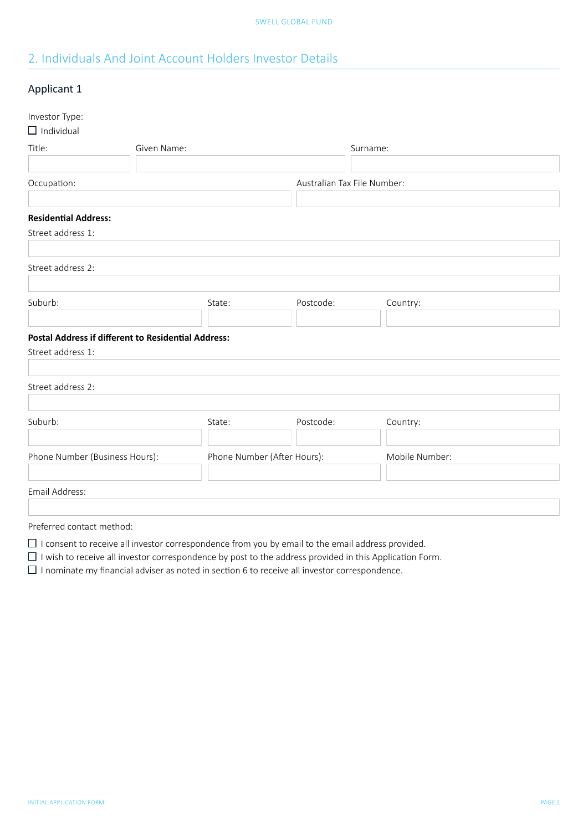# <span id="page-1-0"></span>2. Individuals And Joint Account Holders Investor Details

### Applicant 1

| Investor Type:<br>$\Box$ Individual                        |                             |           |                             |
|------------------------------------------------------------|-----------------------------|-----------|-----------------------------|
| Title:                                                     | Given Name:                 |           | Surname:                    |
|                                                            |                             |           |                             |
| Occupation:                                                |                             |           | Australian Tax File Number: |
|                                                            |                             |           |                             |
| <b>Residential Address:</b>                                |                             |           |                             |
| Street address 1:                                          |                             |           |                             |
|                                                            |                             |           |                             |
| Street address 2:                                          |                             |           |                             |
|                                                            |                             |           |                             |
| Suburb:                                                    | State:                      | Postcode: | Country:                    |
|                                                            |                             |           |                             |
| <b>Postal Address if different to Residential Address:</b> |                             |           |                             |
| Street address 1:                                          |                             |           |                             |
|                                                            |                             |           |                             |
| Street address 2:                                          |                             |           |                             |
|                                                            |                             |           |                             |
| Suburb:                                                    | State:                      | Postcode: | Country:                    |
|                                                            |                             |           |                             |
| Phone Number (Business Hours):                             | Phone Number (After Hours): |           | Mobile Number:              |
|                                                            |                             |           |                             |
| Email Address:                                             |                             |           |                             |
|                                                            |                             |           |                             |
| Preferred contact method:                                  |                             |           |                             |

 $\Box$  I consent to receive all investor correspondence from you by email to the email address provided.

 $\Box$  I wish to receive all investor correspondence by post to the address provided in this Application Form.

 $\Box$  I nominate my financial adviser as noted in section 6 to receive all investor correspondence.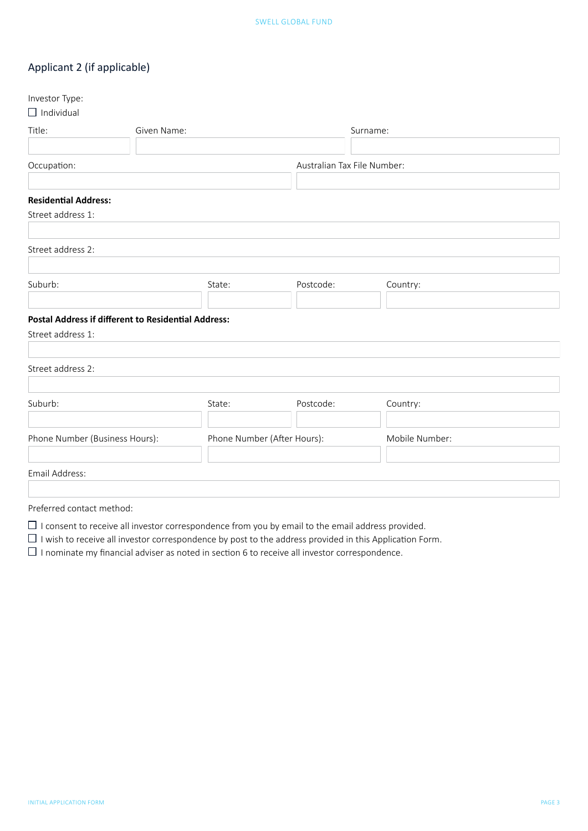## Applicant 2 (if applicable)

| Investor Type:                                             |        |                             |                |
|------------------------------------------------------------|--------|-----------------------------|----------------|
| $\Box$ Individual                                          |        |                             |                |
| Title:<br>Given Name:                                      |        |                             | Surname:       |
|                                                            |        |                             |                |
| Occupation:                                                |        | Australian Tax File Number: |                |
|                                                            |        |                             |                |
| <b>Residential Address:</b>                                |        |                             |                |
| Street address 1:                                          |        |                             |                |
|                                                            |        |                             |                |
| Street address 2:                                          |        |                             |                |
|                                                            |        |                             |                |
| Suburb:                                                    | State: | Postcode:                   | Country:       |
|                                                            |        |                             |                |
| <b>Postal Address if different to Residential Address:</b> |        |                             |                |
| Street address 1:                                          |        |                             |                |
|                                                            |        |                             |                |
| Street address 2:                                          |        |                             |                |
|                                                            |        |                             |                |
| Suburb:                                                    | State: | Postcode:                   | Country:       |
|                                                            |        |                             |                |
| Phone Number (Business Hours):                             |        | Phone Number (After Hours): | Mobile Number: |
|                                                            |        |                             |                |
| Email Address:                                             |        |                             |                |
|                                                            |        |                             |                |
| Preferred contact method:                                  |        |                             |                |

- $\Box$  I consent to receive all investor correspondence from you by email to the email address provided.
- $\Box$  I wish to receive all investor correspondence by post to the address provided in this Application Form.
- $\Box$  I nominate my financial adviser as noted in section 6 to receive all investor correspondence.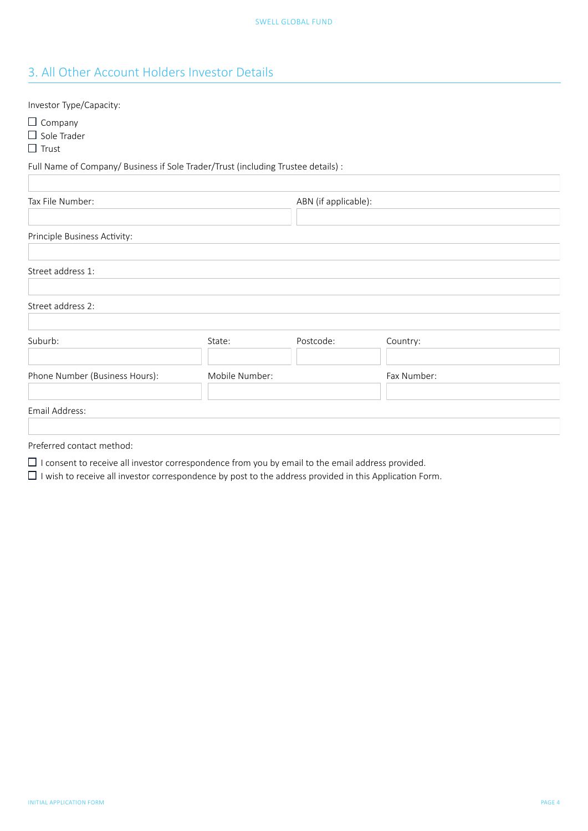# <span id="page-3-0"></span>3. All Other Account Holders Investor Details

| Investor Type/Capacity:                                                           |                |                      |             |  |
|-----------------------------------------------------------------------------------|----------------|----------------------|-------------|--|
| $\Box$ Company<br>$\Box$ Sole Trader<br>$\Box$ Trust                              |                |                      |             |  |
| Full Name of Company/ Business if Sole Trader/Trust (including Trustee details) : |                |                      |             |  |
| Tax File Number:                                                                  |                | ABN (if applicable): |             |  |
| Principle Business Activity:                                                      |                |                      |             |  |
| Street address 1:                                                                 |                |                      |             |  |
| Street address 2:                                                                 |                |                      |             |  |
| Suburb:                                                                           | State:         | Postcode:            | Country:    |  |
| Phone Number (Business Hours):                                                    | Mobile Number: |                      | Fax Number: |  |
| Email Address:                                                                    |                |                      |             |  |
|                                                                                   |                |                      |             |  |

Preferred contact method:

 $\Box$  I consent to receive all investor correspondence from you by email to the email address provided.

 $\Box$  I wish to receive all investor correspondence by post to the address provided in this Application Form.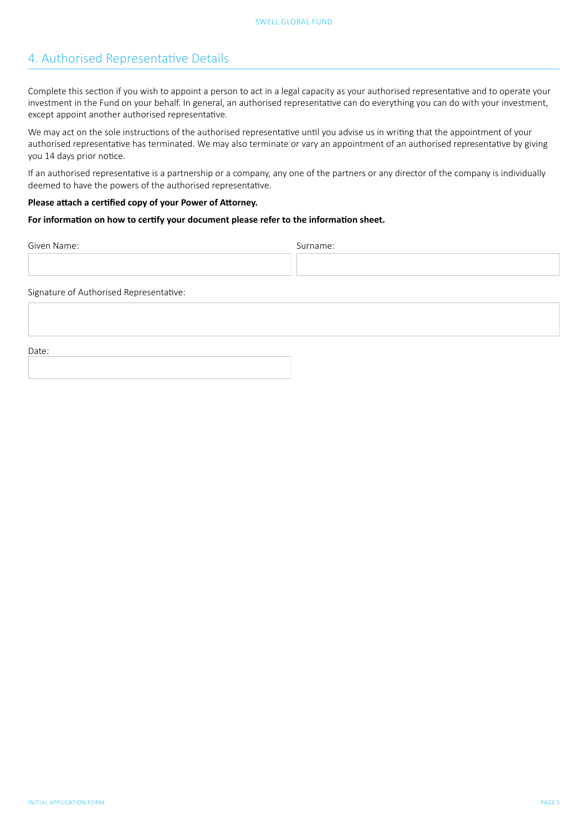### <span id="page-4-0"></span>4. Authorised Representative Details

Complete this section if you wish to appoint a person to act in a legal capacity as your authorised representative and to operate your investment in the Fund on your behalf. In general, an authorised representative can do everything you can do with your investment, except appoint another authorised representative.

We may act on the sole instructions of the authorised representative until you advise us in writing that the appointment of your authorised representative has terminated. We may also terminate or vary an appointment of an authorised representative by giving you 14 days prior notice.

If an authorised representative is a partnership or a company, any one of the partners or any director of the company is individually deemed to have the powers of the authorised representative.

#### **Please attach a certified copy of your Power of Attorney.**

#### **For information on how to certify your document please refer to the information sheet.**

Given Name: Surname: Surname: Surname: Surname: Surname: Surname: Surname: Surname: Surname: Surname: Surname: Surname: Surname: Surname: Surname: Surname: Surname: Surname: Surname: Surname: Surname: Surname: Surname: Sur

Signature of Authorised Representative:

Date: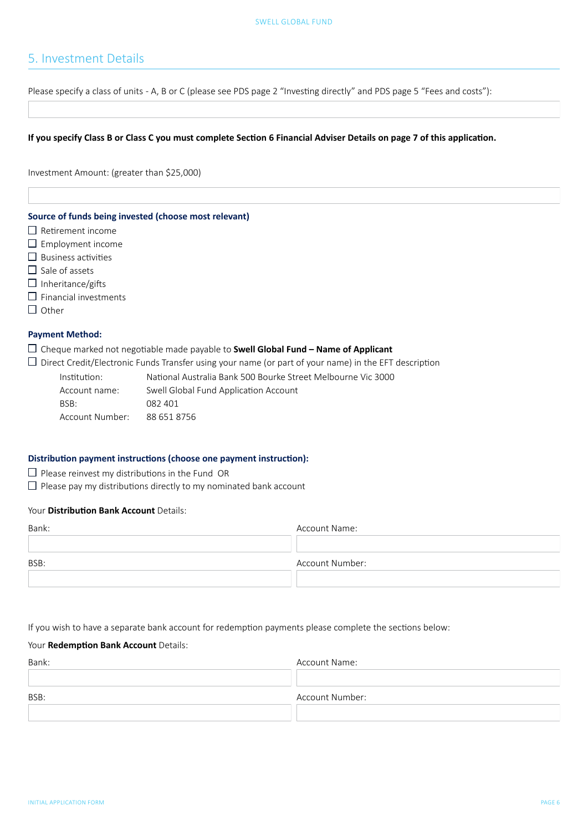### <span id="page-5-0"></span>5. Investment Details

Please specify a class of units - A, B or C (please see PDS page 2 "Investing directly" and PDS page 5 "Fees and costs"):

#### **If you specify Class B or Class C you must complete Section 6 Financial Adviser Details on page 7 of this application.**

Investment Amount: (greater than \$25,000)

#### **Source of funds being invested (choose most relevant)**

- $\Box$  Retirement income
- $\square$  Employment income
- $\square$  Business activities
- $\square$  Sale of assets
- $\Box$  Inheritance/gifts
- $\square$  Financial investments
- $\Box$  Other

#### **Payment Method:**

Cheque marked not negotiable made payable to **Swell Global Fund – Name of Applicant**

 $\Box$  Direct Credit/Electronic Funds Transfer using your name (or part of your name) in the EFT description

| Institution:    | National Australia Bank 500 Bourke Street Melbourne Vic 3000 |
|-----------------|--------------------------------------------------------------|
| Account name:   | Swell Global Fund Application Account                        |
| BSB:            | 082 401                                                      |
| Account Number: | 88 651 8756                                                  |

#### **Distribution payment instructions (choose one payment instruction):**

- $\square$  Please reinvest my distributions in the Fund OR
- $\square$  Please pay my distributions directly to my nominated bank account

#### Your **Distribution Bank Account** Details:

| Bank: | Account Name:   |
|-------|-----------------|
|       |                 |
| BSB:  | Account Number: |
|       |                 |

If you wish to have a separate bank account for redemption payments please complete the sections below:

#### Your **Redemption Bank Account** Details:

| Bank: | Account Name:   |
|-------|-----------------|
|       |                 |
|       |                 |
| BSB:  | Account Number: |
|       |                 |
|       |                 |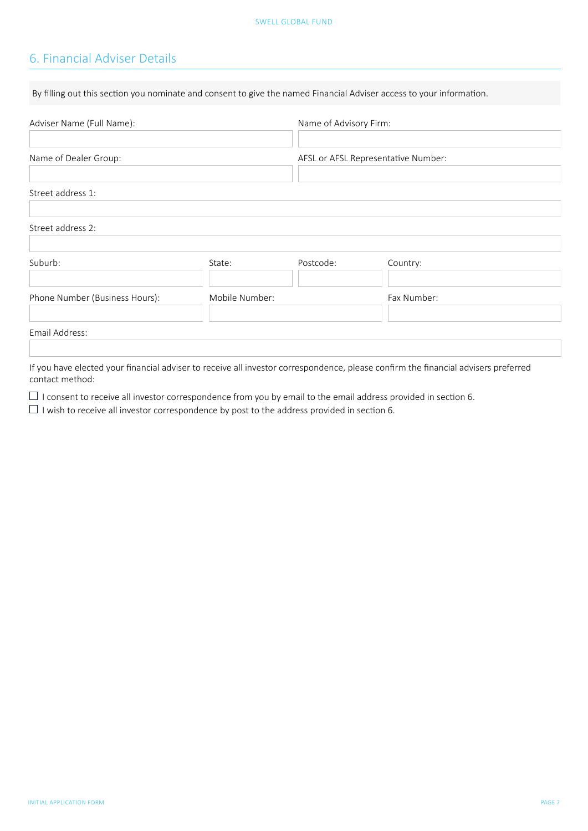# <span id="page-6-0"></span>6. Financial Adviser Details

| By filling out this section you nominate and consent to give the named Financial Adviser access to your information. |                |                        |                                     |  |
|----------------------------------------------------------------------------------------------------------------------|----------------|------------------------|-------------------------------------|--|
| Adviser Name (Full Name):                                                                                            |                | Name of Advisory Firm: |                                     |  |
| Name of Dealer Group:                                                                                                |                |                        | AFSL or AFSL Representative Number: |  |
| Street address 1:                                                                                                    |                |                        |                                     |  |
| Street address 2:                                                                                                    |                |                        |                                     |  |
| Suburb:                                                                                                              | State:         | Postcode:              | Country:                            |  |
| Phone Number (Business Hours):                                                                                       | Mobile Number: |                        | Fax Number:                         |  |
| Email Address:                                                                                                       |                |                        |                                     |  |

If you have elected your financial adviser to receive all investor correspondence, please confirm the financial advisers preferred contact method:

 $\Box$  I consent to receive all investor correspondence from you by email to the email address provided in section 6.

 $\Box$  I wish to receive all investor correspondence by post to the address provided in section 6.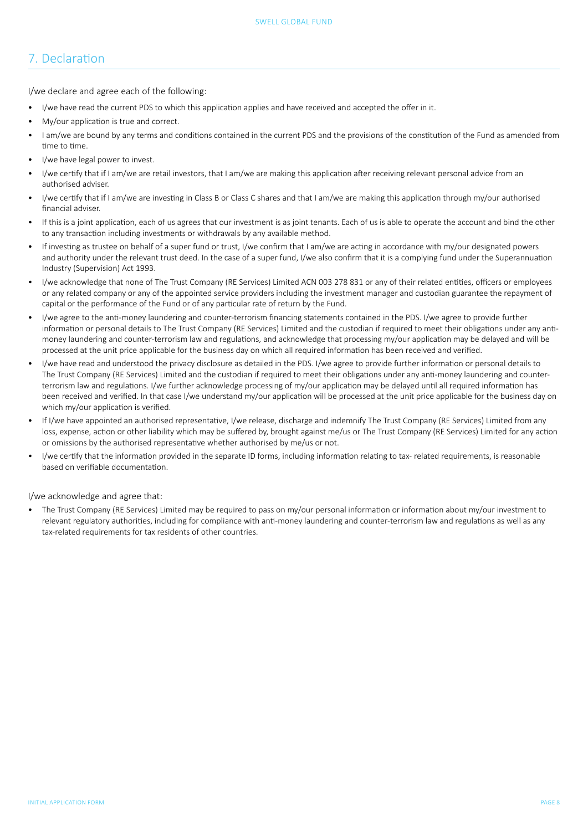# <span id="page-7-0"></span>7. Declaration

I/we declare and agree each of the following:

- I/we have read the current PDS to which this application applies and have received and accepted the offer in it.
- My/our application is true and correct.
- I am/we are bound by any terms and conditions contained in the current PDS and the provisions of the constitution of the Fund as amended from time to time.
- I/we have legal power to invest.
- I/we certify that if I am/we are retail investors, that I am/we are making this application after receiving relevant personal advice from an authorised adviser.
- I/we certify that if I am/we are investing in Class B or Class C shares and that I am/we are making this application through my/our authorised financial adviser.
- If this is a joint application, each of us agrees that our investment is as joint tenants. Each of us is able to operate the account and bind the other to any transaction including investments or withdrawals by any available method.
- If investing as trustee on behalf of a super fund or trust. I/we confirm that I am/we are acting in accordance with my/our designated powers and authority under the relevant trust deed. In the case of a super fund, I/we also confirm that it is a complying fund under the Superannuation Industry (Supervision) Act 1993.
- I/we acknowledge that none of The Trust Company (RE Services) Limited ACN 003 278 831 or any of their related entities, officers or employees or any related company or any of the appointed service providers including the investment manager and custodian guarantee the repayment of capital or the performance of the Fund or of any particular rate of return by the Fund.
- I/we agree to the anti-money laundering and counter-terrorism financing statements contained in the PDS. I/we agree to provide further information or personal details to The Trust Company (RE Services) Limited and the custodian if required to meet their obligations under any antimoney laundering and counter-terrorism law and regulations, and acknowledge that processing my/our application may be delayed and will be processed at the unit price applicable for the business day on which all required information has been received and verified.
- I/we have read and understood the privacy disclosure as detailed in the PDS. I/we agree to provide further information or personal details to The Trust Company (RE Services) Limited and the custodian if required to meet their obligations under any anti-money laundering and counterterrorism law and regulations. I/we further acknowledge processing of my/our application may be delayed until all required information has been received and verified. In that case I/we understand my/our application will be processed at the unit price applicable for the business day on which my/our application is verified.
- If I/we have appointed an authorised representative, I/we release, discharge and indemnify The Trust Company (RE Services) Limited from any loss, expense, action or other liability which may be suffered by, brought against me/us or The Trust Company (RE Services) Limited for any action or omissions by the authorised representative whether authorised by me/us or not.
- I/we certify that the information provided in the separate ID forms, including information relating to tax- related requirements, is reasonable based on verifiable documentation.

I/we acknowledge and agree that:

• The Trust Company (RE Services) Limited may be required to pass on my/our personal information or information about my/our investment to relevant regulatory authorities, including for compliance with anti-money laundering and counter-terrorism law and regulations as well as any tax-related requirements for tax residents of other countries.